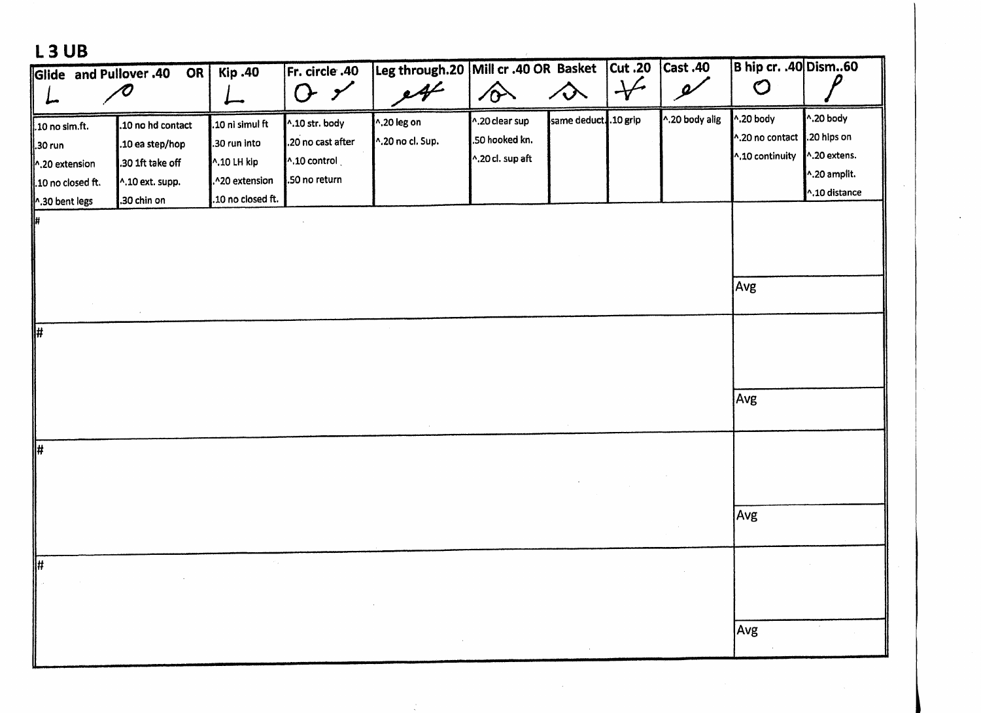## **L3UB**

| Glide and Pullover .40 | <b>OR</b>         | <b>Kip.40</b>      | Fr. circle .40          | Leg through.20 Mill cr .40 OR Basket |                  |                    | <b>Cut.20</b> | $\overline{\text{Cast.40}}$ | B hip cr. .40 Dism60        |                      |
|------------------------|-------------------|--------------------|-------------------------|--------------------------------------|------------------|--------------------|---------------|-----------------------------|-----------------------------|----------------------|
|                        | $\bm{\sigma}$     |                    | $O \prime$              | 44                                   | $\hat{\sigma}$   | $\rightsquigarrow$ | $\downarrow$  | $\overline{\mathscr{A}}$    | $\mathcal{O}$               |                      |
| .10 no sim.ft.         | .10 no hd contact | .10 ni simul ft    | ^.10 str. body          | ^.20 leg on                          | ^.20 clear sup   | same deduct10 grip |               | ^.20 body alig              | ^.20 body                   | $^{\wedge}$ .20 body |
| .30 run                | .10 ea step/hop   | .30 run into       | .20 no cast after       | ^.20 no cl. Sup.                     | .50 hooked kn.   |                    |               |                             | ^.20 no contact .20 hips on |                      |
| 1.20 extension         | .30 1ft take off  | ^.10 LH kip        | $^{\wedge}$ .10 control |                                      | ^.20 cl. sup aft |                    |               |                             | ^.10 continuity             | ^.20 extens.         |
| 10 no closed ft.       | ^.10 ext. supp.   | .^20 extension     | .50 no return           |                                      |                  |                    |               |                             |                             | ^.20 amplit.         |
| 1.30 bent legs         | .30 chin on       | .10 no closed ft.  |                         |                                      |                  |                    |               |                             |                             | ^.10 distance        |
| l#                     |                   |                    |                         |                                      |                  |                    |               |                             |                             |                      |
|                        |                   |                    |                         |                                      |                  |                    |               |                             |                             |                      |
|                        |                   |                    |                         |                                      |                  |                    |               |                             |                             |                      |
|                        |                   |                    |                         |                                      |                  |                    |               |                             | Avg                         |                      |
|                        |                   |                    |                         |                                      |                  |                    |               |                             |                             |                      |
|                        |                   |                    |                         |                                      |                  |                    |               |                             |                             |                      |
| ⊮                      |                   |                    |                         |                                      |                  |                    |               |                             |                             |                      |
|                        |                   |                    |                         |                                      |                  |                    |               |                             |                             |                      |
|                        |                   |                    |                         |                                      |                  |                    |               |                             |                             |                      |
|                        |                   |                    |                         |                                      |                  |                    |               |                             | Avg                         |                      |
|                        |                   |                    |                         |                                      |                  |                    |               |                             |                             |                      |
|                        |                   |                    |                         |                                      |                  |                    |               |                             |                             |                      |
| $\sqrt{\frac{4}{11}}$  |                   |                    |                         |                                      |                  |                    |               |                             |                             |                      |
|                        |                   |                    |                         |                                      |                  |                    |               |                             |                             |                      |
|                        |                   |                    |                         |                                      |                  |                    |               |                             |                             |                      |
|                        |                   |                    |                         |                                      |                  |                    |               |                             | Avg                         |                      |
|                        |                   |                    |                         |                                      |                  |                    |               |                             |                             |                      |
|                        |                   | $\sigma_{\rm eff}$ |                         |                                      |                  |                    |               |                             |                             |                      |
| #                      |                   |                    |                         |                                      |                  |                    |               |                             |                             |                      |
|                        |                   |                    |                         |                                      |                  |                    |               |                             |                             |                      |
|                        |                   |                    |                         |                                      |                  |                    |               |                             |                             |                      |
|                        |                   |                    |                         |                                      |                  |                    |               |                             | Avg                         |                      |
|                        |                   |                    |                         |                                      |                  |                    |               |                             |                             |                      |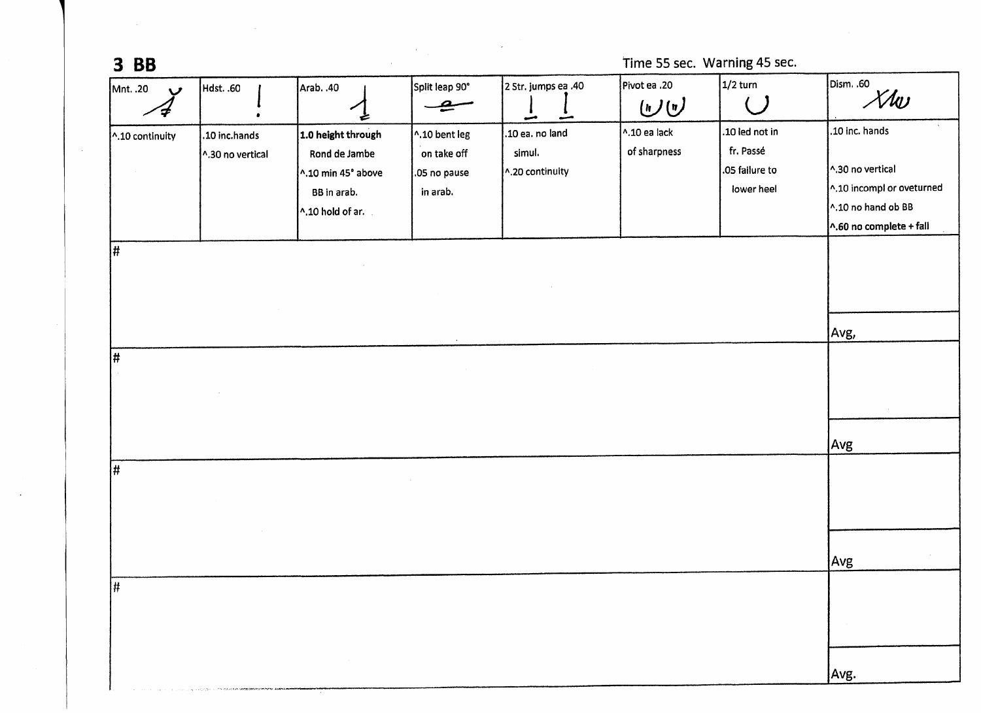| $3$ BB          |                                   |                                                                                              |                                                          |                                              |                                                                  | Time 55 sec. Warning 45 sec.                                |                                                                                                                          |  |  |  |
|-----------------|-----------------------------------|----------------------------------------------------------------------------------------------|----------------------------------------------------------|----------------------------------------------|------------------------------------------------------------------|-------------------------------------------------------------|--------------------------------------------------------------------------------------------------------------------------|--|--|--|
| Mnt. .20<br>v   | Hdst. .60                         | Arab. .40                                                                                    | Split leap 90°                                           | 2 Str. jumps ea .40<br>مس<br>مشو             | Pivot ea .20<br>$\left(\mathbf{r}\right)\left(\mathbf{r}\right)$ | $1/2$ turn                                                  | Dism. .60<br>Xlw                                                                                                         |  |  |  |
| ^.10 continuity | .10 inc.hands<br>1.30 no vertical | 1.0 height through<br>Rond de Jambe<br>^.10 min 45° above<br>BB in arab.<br>^.10 hold of ar. | ^.10 bent leg<br>on take off<br>.05 no pause<br>in arab. | .10 ea. no land<br>simul.<br>^.20 continuity | $^{\wedge}$ .10 ea lack<br>of sharpness                          | .10 led not in<br>fr. Passé<br>.05 failure to<br>lower heel | .10 inc. hands<br>^.30 no vertical<br>^.10 incompl or oveturned<br>^.10 no hand ob BB<br>$\wedge$ .60 no complete + fall |  |  |  |
|                 |                                   |                                                                                              |                                                          |                                              |                                                                  |                                                             |                                                                                                                          |  |  |  |
| #               |                                   |                                                                                              |                                                          |                                              |                                                                  |                                                             | Avg,                                                                                                                     |  |  |  |
|                 |                                   |                                                                                              |                                                          |                                              |                                                                  |                                                             | $\sim$<br>Avg                                                                                                            |  |  |  |
| #               |                                   |                                                                                              |                                                          |                                              |                                                                  |                                                             |                                                                                                                          |  |  |  |
|                 |                                   |                                                                                              |                                                          |                                              |                                                                  |                                                             | Avg                                                                                                                      |  |  |  |
| #               |                                   |                                                                                              |                                                          |                                              |                                                                  |                                                             |                                                                                                                          |  |  |  |
|                 |                                   |                                                                                              |                                                          |                                              |                                                                  |                                                             | Avg.                                                                                                                     |  |  |  |

 $\sim 10^{11}$ 

 $\sim 100$